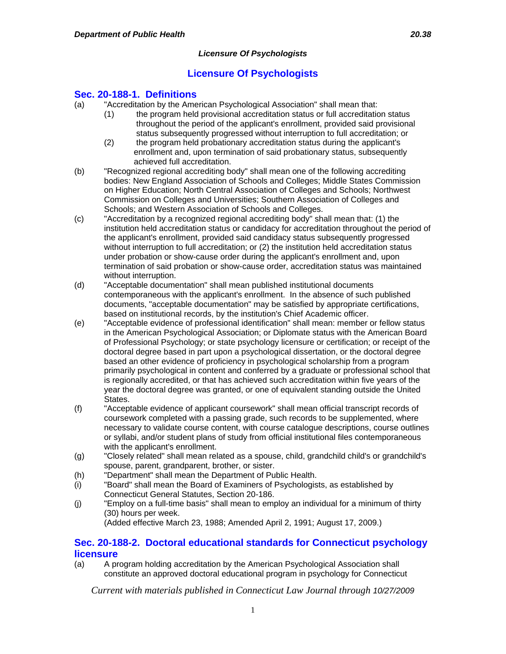## **Sec. 20-188-1. Definitions**

- (a) "Accreditation by the American Psychological Association" shall mean that:
	- (1) the program held provisional accreditation status or full accreditation status throughout the period of the applicant's enrollment, provided said provisional status subsequently progressed without interruption to full accreditation; or
	- (2) the program held probationary accreditation status during the applicant's enrollment and, upon termination of said probationary status, subsequently achieved full accreditation.
- (b) "Recognized regional accrediting body" shall mean one of the following accrediting bodies: New England Association of Schools and Colleges; Middle States Commission on Higher Education; North Central Association of Colleges and Schools; Northwest Commission on Colleges and Universities; Southern Association of Colleges and Schools; and Western Association of Schools and Colleges.
- (c) "Accreditation by a recognized regional accrediting body" shall mean that: (1) the institution held accreditation status or candidacy for accreditation throughout the period of the applicant's enrollment, provided said candidacy status subsequently progressed without interruption to full accreditation; or (2) the institution held accreditation status under probation or show-cause order during the applicant's enrollment and, upon termination of said probation or show-cause order, accreditation status was maintained without interruption.
- (d) "Acceptable documentation" shall mean published institutional documents contemporaneous with the applicant's enrollment. In the absence of such published documents, "acceptable documentation" may be satisfied by appropriate certifications, based on institutional records, by the institution's Chief Academic officer.
- (e) "Acceptable evidence of professional identification" shall mean: member or fellow status in the American Psychological Association; or Diplomate status with the American Board of Professional Psychology; or state psychology licensure or certification; or receipt of the doctoral degree based in part upon a psychological dissertation, or the doctoral degree based an other evidence of proficiency in psychological scholarship from a program primarily psychological in content and conferred by a graduate or professional school that is regionally accredited, or that has achieved such accreditation within five years of the year the doctoral degree was granted, or one of equivalent standing outside the United States.
- (f) "Acceptable evidence of applicant coursework" shall mean official transcript records of coursework completed with a passing grade, such records to be supplemented, where necessary to validate course content, with course catalogue descriptions, course outlines or syllabi, and/or student plans of study from official institutional files contemporaneous with the applicant's enrollment.
- (g) "Closely related" shall mean related as a spouse, child, grandchild child's or grandchild's spouse, parent, grandparent, brother, or sister.
- (h) "Department" shall mean the Department of Public Health.
- (i) "Board" shall mean the Board of Examiners of Psychologists, as established by Connecticut General Statutes, Section 20-186.
- (j) "Employ on a full-time basis" shall mean to employ an individual for a minimum of thirty (30) hours per week.

(Added effective March 23, 1988; Amended April 2, 1991; August 17, 2009.)

## **Sec. 20-188-2. Doctoral educational standards for Connecticut psychology licensure**

(a) A program holding accreditation by the American Psychological Association shall constitute an approved doctoral educational program in psychology for Connecticut

*Current with materials published in Connecticut Law Journal through 10/27/2009*

1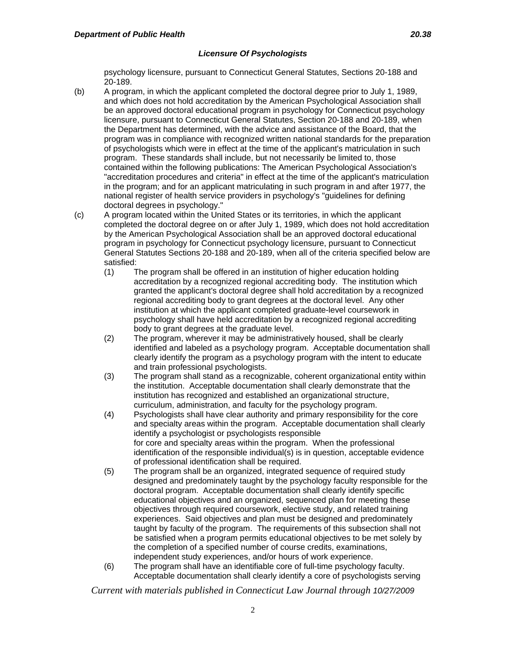psychology licensure, pursuant to Connecticut General Statutes, Sections 20-188 and 20-189.

- (b) A program, in which the applicant completed the doctoral degree prior to July 1, 1989, and which does not hold accreditation by the American Psychological Association shall be an approved doctoral educational program in psychology for Connecticut psychology licensure, pursuant to Connecticut General Statutes, Section 20-188 and 20-189, when the Department has determined, with the advice and assistance of the Board, that the program was in compliance with recognized written national standards for the preparation of psychologists which were in effect at the time of the applicant's matriculation in such program. These standards shall include, but not necessarily be limited to, those contained within the following publications: The American Psychological Association's "accreditation procedures and criteria" in effect at the time of the applicant's matriculation in the program; and for an applicant matriculating in such program in and after 1977, the national register of health service providers in psychology's "guidelines for defining doctoral degrees in psychology."
- (c) A program located within the United States or its territories, in which the applicant completed the doctoral degree on or after July 1, 1989, which does not hold accreditation by the American Psychological Association shall be an approved doctoral educational program in psychology for Connecticut psychology licensure, pursuant to Connecticut General Statutes Sections 20-188 and 20-189, when all of the criteria specified below are satisfied:
	- (1) The program shall be offered in an institution of higher education holding accreditation by a recognized regional accrediting body. The institution which granted the applicant's doctoral degree shall hold accreditation by a recognized regional accrediting body to grant degrees at the doctoral level. Any other institution at which the applicant completed graduate-level coursework in psychology shall have held accreditation by a recognized regional accrediting body to grant degrees at the graduate level.
	- (2) The program, wherever it may be administratively housed, shall be clearly identified and labeled as a psychology program. Acceptable documentation shall clearly identify the program as a psychology program with the intent to educate and train professional psychologists.
	- (3) The program shall stand as a recognizable, coherent organizational entity within the institution. Acceptable documentation shall clearly demonstrate that the institution has recognized and established an organizational structure, curriculum, administration, and faculty for the psychology program.
	- (4) Psychologists shall have clear authority and primary responsibility for the core and specialty areas within the program. Acceptable documentation shall clearly identify a psychologist or psychologists responsible for core and specialty areas within the program. When the professional identification of the responsible individual(s) is in question, acceptable evidence of professional identification shall be required.
	- (5) The program shall be an organized, integrated sequence of required study designed and predominately taught by the psychology faculty responsible for the doctoral program. Acceptable documentation shall clearly identify specific educational objectives and an organized, sequenced plan for meeting these objectives through required coursework, elective study, and related training experiences. Said objectives and plan must be designed and predominately taught by faculty of the program. The requirements of this subsection shall not be satisfied when a program permits educational objectives to be met solely by the completion of a specified number of course credits, examinations, independent study experiences, and/or hours of work experience.
	- (6) The program shall have an identifiable core of full-time psychology faculty. Acceptable documentation shall clearly identify a core of psychologists serving

*Current with materials published in Connecticut Law Journal through 10/27/2009*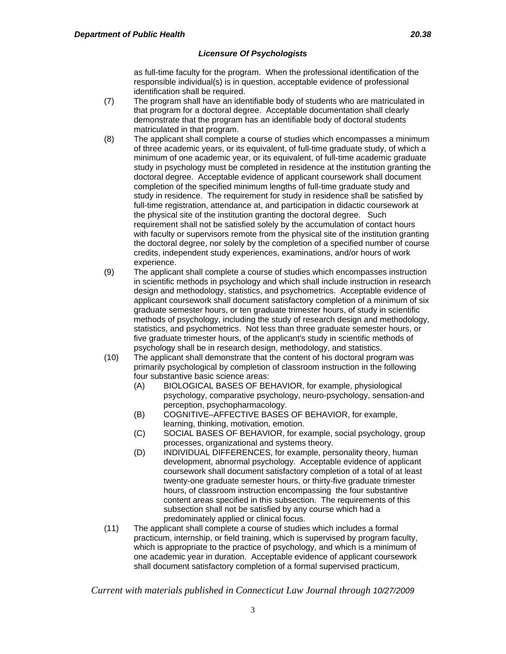as full-time faculty for the program. When the professional identification of the responsible individual(s) is in question, acceptable evidence of professional identification shall be required.

- (7) The program shall have an identifiable body of students who are matriculated in that program for a doctoral degree. Acceptable documentation shall clearly demonstrate that the program has an identifiable body of doctoral students matriculated in that program.
- (8) The applicant shall complete a course of studies which encompasses a minimum of three academic years, or its equivalent, of full-time graduate study, of which a minimum of one academic year, or its equivalent, of full-time academic graduate study in psychology must be completed in residence at the institution granting the doctoral degree. Acceptable evidence of applicant coursework shall document completion of the specified minimum lengths of full-time graduate study and study in residence. The requirement for study in residence shall be satisfied by full-time registration, attendance at, and participation in didactic coursework at the physical site of the institution granting the doctoral degree. Such requirement shall not be satisfied solely by the accumulation of contact hours with faculty or supervisors remote from the physical site of the institution granting the doctoral degree, nor solely by the completion of a specified number of course credits, independent study experiences, examinations, and/or hours of work experience.
- (9) The applicant shall complete a course of studies which encompasses instruction in scientific methods in psychology and which shall include instruction in research design and methodology, statistics, and psychometrics. Acceptable evidence of applicant coursework shall document satisfactory completion of a minimum of six graduate semester hours, or ten graduate trimester hours, of study in scientific methods of psychology, including the study of research design and methodology, statistics, and psychometrics. Not less than three graduate semester hours, or five graduate trimester hours, of the applicant's study in scientific methods of psychology shall be in research design, methodology, and statistics.
- (10) The applicant shall demonstrate that the content of his doctoral program was primarily psychological by completion of classroom instruction in the following four substantive basic science areas:
	- (A) BIOLOGICAL BASES OF BEHAVIOR, for example, physiological psychology, comparative psychology, neuro-psychology, sensation-and perception, psychopharmacology.
	- (B) COGNITIVE–AFFECTIVE BASES OF BEHAVIOR, for example, learning, thinking, motivation, emotion.
	- (C) SOCIAL BASES OF BEHAVIOR, for example, social psychology, group processes, organizational and systems theory.
	- (D) INDIVIDUAL DIFFERENCES, for example, personality theory, human development, abnormal psychology. Acceptable evidence of applicant coursework shall document satisfactory completion of a total of at least twenty-one graduate semester hours, or thirty-five graduate trimester hours, of classroom instruction encompassing the four substantive content areas specified in this subsection. The requirements of this subsection shall not be satisfied by any course which had a predominately applied or clinical focus.
- (11) The applicant shall complete a course of studies which includes a formal practicum, internship, or field training, which is supervised by program faculty, which is appropriate to the practice of psychology, and which is a minimum of one academic year in duration. Acceptable evidence of applicant coursework shall document satisfactory completion of a formal supervised practicum,

*Current with materials published in Connecticut Law Journal through 10/27/2009*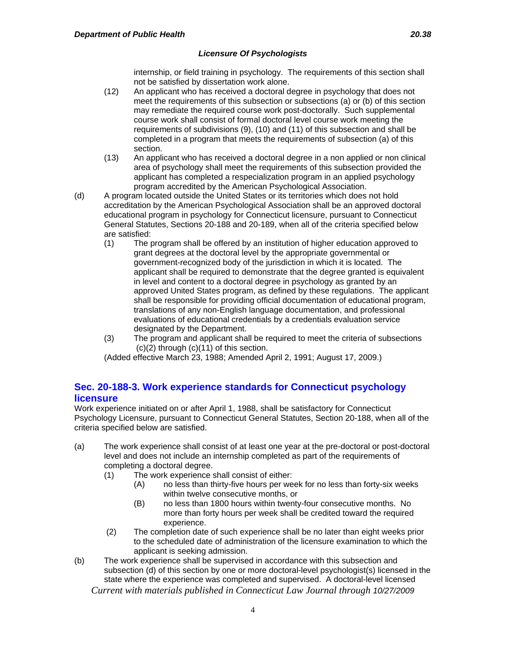internship, or field training in psychology. The requirements of this section shall not be satisfied by dissertation work alone.

- (12) An applicant who has received a doctoral degree in psychology that does not meet the requirements of this subsection or subsections (a) or (b) of this section may remediate the required course work post-doctorally. Such supplemental course work shall consist of formal doctoral level course work meeting the requirements of subdivisions (9), (10) and (11) of this subsection and shall be completed in a program that meets the requirements of subsection (a) of this section.
- (13) An applicant who has received a doctoral degree in a non applied or non clinical area of psychology shall meet the requirements of this subsection provided the applicant has completed a respecialization program in an applied psychology program accredited by the American Psychological Association.
- (d) A program located outside the United States or its territories which does not hold accreditation by the American Psychological Association shall be an approved doctoral educational program in psychology for Connecticut licensure, pursuant to Connecticut General Statutes, Sections 20-188 and 20-189, when all of the criteria specified below are satisfied:
	- (1) The program shall be offered by an institution of higher education approved to grant degrees at the doctoral level by the appropriate governmental or government-recognized body of the jurisdiction in which it is located. The applicant shall be required to demonstrate that the degree granted is equivalent in level and content to a doctoral degree in psychology as granted by an approved United States program, as defined by these regulations. The applicant shall be responsible for providing official documentation of educational program, translations of any non-English language documentation, and professional evaluations of educational credentials by a credentials evaluation service designated by the Department.
	- (3) The program and applicant shall be required to meet the criteria of subsections (c)(2) through (c)(11) of this section.

(Added effective March 23, 1988; Amended April 2, 1991; August 17, 2009.)

# **Sec. 20-188-3. Work experience standards for Connecticut psychology licensure**

Work experience initiated on or after April 1, 1988, shall be satisfactory for Connecticut Psychology Licensure, pursuant to Connecticut General Statutes, Section 20-188, when all of the criteria specified below are satisfied.

- (a) The work experience shall consist of at least one year at the pre-doctoral or post-doctoral level and does not include an internship completed as part of the requirements of completing a doctoral degree.
	- (1) The work experience shall consist of either:
		- (A) no less than thirty-five hours per week for no less than forty-six weeks within twelve consecutive months, or
		- (B) no less than 1800 hours within twenty-four consecutive months. No more than forty hours per week shall be credited toward the required experience.
	- (2) The completion date of such experience shall be no later than eight weeks prior to the scheduled date of administration of the licensure examination to which the applicant is seeking admission.
- *Current with materials published in Connecticut Law Journal through 10/27/2009* (b) The work experience shall be supervised in accordance with this subsection and subsection (d) of this section by one or more doctoral-level psychologist(s) licensed in the state where the experience was completed and supervised. A doctoral-level licensed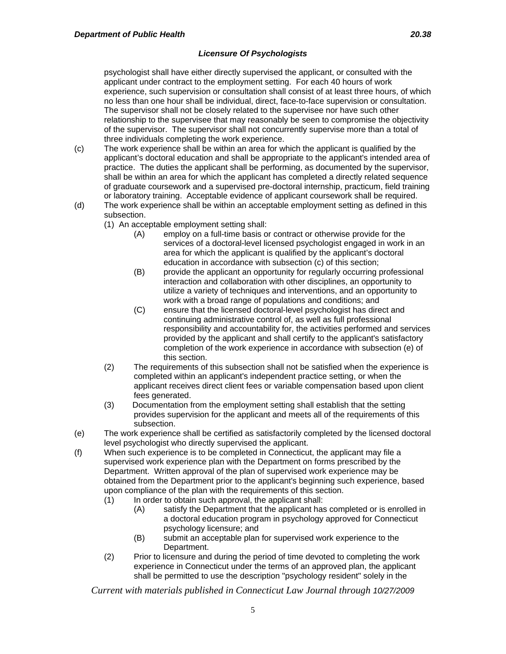psychologist shall have either directly supervised the applicant, or consulted with the applicant under contract to the employment setting. For each 40 hours of work experience, such supervision or consultation shall consist of at least three hours, of which no less than one hour shall be individual, direct, face-to-face supervision or consultation. The supervisor shall not be closely related to the supervisee nor have such other relationship to the supervisee that may reasonably be seen to compromise the objectivity of the supervisor. The supervisor shall not concurrently supervise more than a total of three individuals completing the work experience.

- (c) The work experience shall be within an area for which the applicant is qualified by the applicant's doctoral education and shall be appropriate to the applicant's intended area of practice. The duties the applicant shall be performing, as documented by the supervisor, shall be within an area for which the applicant has completed a directly related sequence of graduate coursework and a supervised pre-doctoral internship, practicum, field training or laboratory training. Acceptable evidence of applicant coursework shall be required.
- (d) The work experience shall be within an acceptable employment setting as defined in this subsection.
	- (1) An acceptable employment setting shall:
		- (A) employ on a full-time basis or contract or otherwise provide for the services of a doctoral-level licensed psychologist engaged in work in an area for which the applicant is qualified by the applicant's doctoral education in accordance with subsection (c) of this section;
		- (B) provide the applicant an opportunity for regularly occurring professional interaction and collaboration with other disciplines, an opportunity to utilize a variety of techniques and interventions, and an opportunity to work with a broad range of populations and conditions; and
		- (C) ensure that the licensed doctoral-level psychologist has direct and continuing administrative control of, as well as full professional responsibility and accountability for, the activities performed and services provided by the applicant and shall certify to the applicant's satisfactory completion of the work experience in accordance with subsection (e) of this section.
	- (2) The requirements of this subsection shall not be satisfied when the experience is completed within an applicant's independent practice setting, or when the applicant receives direct client fees or variable compensation based upon client fees generated.
	- (3) Documentation from the employment setting shall establish that the setting provides supervision for the applicant and meets all of the requirements of this subsection.
- (e) The work experience shall be certified as satisfactorily completed by the licensed doctoral level psychologist who directly supervised the applicant.
- (f) When such experience is to be completed in Connecticut, the applicant may file a supervised work experience plan with the Department on forms prescribed by the Department. Written approval of the plan of supervised work experience may be obtained from the Department prior to the applicant's beginning such experience, based upon compliance of the plan with the requirements of this section.
	- (1) In order to obtain such approval, the applicant shall:
		- (A) satisfy the Department that the applicant has completed or is enrolled in a doctoral education program in psychology approved for Connecticut psychology licensure; and
		- (B) submit an acceptable plan for supervised work experience to the Department.
	- (2) Prior to licensure and during the period of time devoted to completing the work experience in Connecticut under the terms of an approved plan, the applicant shall be permitted to use the description "psychology resident" solely in the

*Current with materials published in Connecticut Law Journal through 10/27/2009*